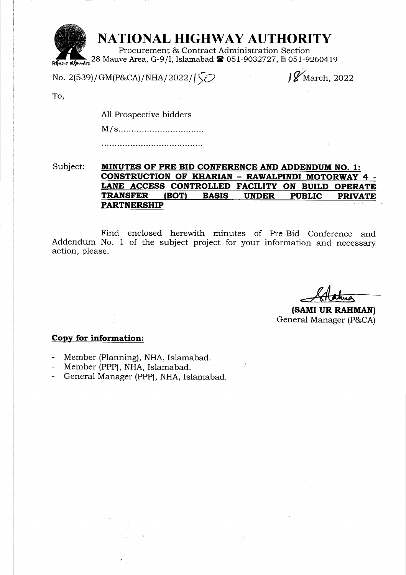

No. 2(539)/GM(P&CA)/NHA/2022/ $\sqrt{\smash[b]{\smash[b]{\mathcal{O}}} }$ 

 $J\mathscr{G}$ March, 2022

To.

All Prospective bidders

M/s........

Subject: MINUTES OF PRE BID CONFERENCE AND ADDENDUM NO. 1: CONSTRUCTION OF KHARIAN - RAWALPINDI MOTORWAY 4 -LANE ACCESS CONTROLLED FACILITY ON BUILD OPERATE<br>TRANSFER (BOT) BASIS UNDER PUBLIC PRIVATE TRANSFER (BOT) BASIS UNDER PUBLIC PRIVATE PARTNERSHIP

Find enclosed herewith minutes of Pre-Bid Conference and Addendum No. 1 of the subject project for your information and necessary action, please.

(SAMI UR RAHMAN) General Manager (P&CA)

### Copv for information:

- Member (Planning), NHA, Islamabad.
- Member (PPP), NHA, Islamabad.
- General Manager (PPP), NHA, Islamabad.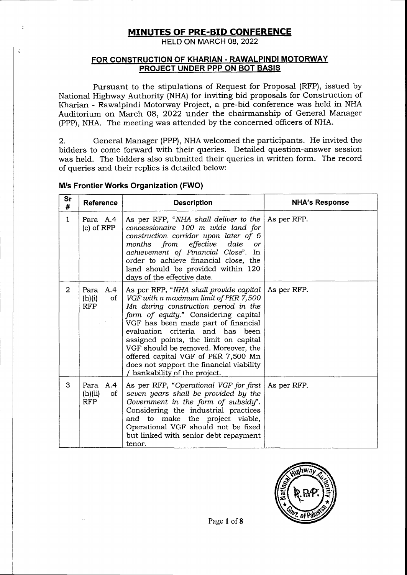## MINUTES OF PRE-BID CONFERENCE

HELD ON MARCH 08, 2022

### FOR CONSTRUCTION OF KHARIAN . RAWALPINDI MOTORWAY PROJECT UNDER PPP ON BOT BASIS

Pursuant to the stipulations of Request for Proposal (RFP), issued by National Highway Authority (NHA) for inviting bid proposals for Construction of Kharian - Rawalpindi Motorway Project, a pre-bid conference was held in NHA Auditorium on March 08, 2022 under the chairmanship of General Manager (PPP), NHA. The meeting was attended by the concerned officers of NHA.

2. General Manager (PPP), NHA welcomed the participants. He invited the bidders to come forward with their queries. Detailed question-answer session was held. The bidders also submitted their queries in written form. The record of queries and their replies is detailed below:

| Sr<br>#        | <b>Reference</b>                          | <b>Description</b>                                                                                                                                                                                                                                                                                                                                                                                                                            | <b>NHA's Response</b> |
|----------------|-------------------------------------------|-----------------------------------------------------------------------------------------------------------------------------------------------------------------------------------------------------------------------------------------------------------------------------------------------------------------------------------------------------------------------------------------------------------------------------------------------|-----------------------|
| $\mathbf{1}$   | Para A.4<br>$(e)$ of $RFP$                | As per RFP, "NHA shall deliver to the<br>concessionaire 100 m wide land for<br>construction corridor upon later of 6<br>months from effective date<br>or<br>achievement of Financial Close". In<br>order to achieve financial close, the<br>land should be provided within 120<br>days of the effective date.                                                                                                                                 | As per RFP.           |
| $\overline{2}$ | Para<br>A.4<br>of<br>(h)(i)<br><b>RFP</b> | As per RFP, "NHA shall provide capital<br>VGF with a maximum limit of PKR 7,500<br>Mn during construction period in the<br>form of equity." Considering capital<br>VGF has been made part of financial<br>evaluation criteria and has been<br>assigned points, the limit on capital<br>VGF should be removed. Moreover, the<br>offered capital VGF of PKR 7,500 Mn<br>does not support the financial viability<br>bankability of the project. | As per RFP.           |
| 3              | Para A.4<br>(h)(ii)<br>of<br><b>RFP</b>   | As per RFP, "Operational VGF for first   As per RFP.<br>seven years shall be provided by the<br>Government in the form of subsidy".<br>Considering the industrial practices<br>and to make the project viable,<br>Operational VGF should not be fixed<br>but linked with senior debt repayment<br>tenor.                                                                                                                                      |                       |

### M/s Frontier Works Organization (FWO)

 $\overline{z}$ 

 $\ddot{\cdot}$ 

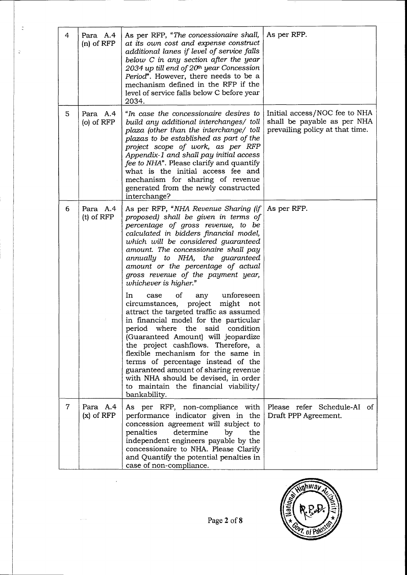| 4              | Para A.4<br>$(n)$ of RFP   | As per RFP, "The concessionaire shall,<br>at its own cost and expense construct<br>additional lanes if level of service falls<br>below $C$ in any section after the year<br>2034 up till end of 20th year Concession<br>Period". However, there needs to be a<br>mechanism defined in the RFP if the<br>level of service falls below C before year<br>2034.                                                                                                                                                                                                                                                                                                                                                                                                                                                                                                                                      | As per RFP.                                                                                     |
|----------------|----------------------------|--------------------------------------------------------------------------------------------------------------------------------------------------------------------------------------------------------------------------------------------------------------------------------------------------------------------------------------------------------------------------------------------------------------------------------------------------------------------------------------------------------------------------------------------------------------------------------------------------------------------------------------------------------------------------------------------------------------------------------------------------------------------------------------------------------------------------------------------------------------------------------------------------|-------------------------------------------------------------------------------------------------|
| 5.             | Para A.4<br>$(o)$ of $RFP$ | "In case the concessionaire desires to<br>build any additional interchanges/ toll<br>plaza (other than the interchange/ toll<br>plazas to be established as part of the<br>project scope of work, as per RFP<br>Appendix-1 and shall pay initial access<br>fee to NHA". Please clarify and quantify<br>what is the initial access fee and<br>mechanism for sharing of revenue<br>generated from the newly constructed<br>interchange?                                                                                                                                                                                                                                                                                                                                                                                                                                                            | Initial access/NOC fee to NHA<br>shall be payable as per NHA<br>prevailing policy at that time. |
| 6              | Para A.4<br>$(t)$ of $RFP$ | As per RFP, "NHA Revenue Sharing (if)<br>proposed) shall be given in terms of<br>percentage of gross revenue, to be<br>calculated in bidders financial model,<br>which will be considered guaranteed<br>amount. The concessionaire shall pay<br>annually to NHA, the guaranteed<br>amount or the percentage of actual<br>gross revenue of the payment year,<br>whichever is higher."<br>In<br>unforeseen<br>0ſ<br>case<br>any<br>circumstances, project<br>might<br>not<br>attract the targeted traffic as assumed<br>in financial model for the particular<br>period where the said condition<br>(Guaranteed Amount) will jeopardize<br>the project cashflows. Therefore, a<br>flexible mechanism for the same in<br>terms of percentage instead of the<br>guaranteed amount of sharing revenue<br>with NHA should be devised, in order<br>to maintain the financial viability/<br>bankability. | As per RFP.                                                                                     |
| $\overline{7}$ | Para A.4<br>$(x)$ of RFP   | As per RFP, non-compliance with<br>performance indicator given in the<br>concession agreement will subject to<br>determine<br>penalties<br>by<br>the<br>independent engineers payable by the<br>concessionaire to NHA. Please Clarify<br>and Quantify the potential penalties in<br>case of non-compliance.                                                                                                                                                                                                                                                                                                                                                                                                                                                                                                                                                                                      | Please refer Schedule-AI of<br>Draft PPP Agreement.                                             |

 $\zeta$ 

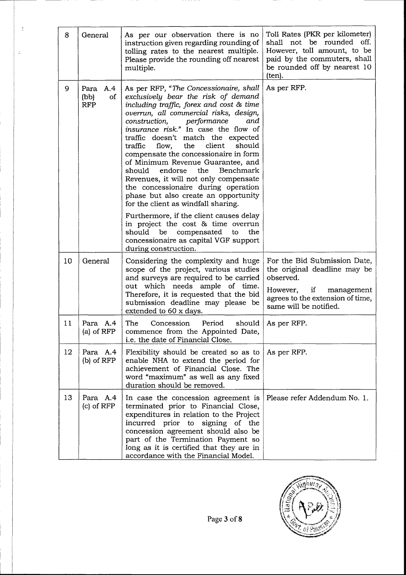| 8  | General                                 | As per our observation there is no<br>instruction given regarding rounding of<br>tolling rates to the nearest multiple.<br>Please provide the rounding off nearest<br>multiple.                                                                                                                                                                                                                                                                                                                                                                                                                                                                                                                                                                      | Toll Rates (PKR per kilometer)<br>shall not be rounded off.<br>However, toll amount, to be<br>paid by the commuters, shall<br>be rounded off by nearest 10<br>(ten). |
|----|-----------------------------------------|------------------------------------------------------------------------------------------------------------------------------------------------------------------------------------------------------------------------------------------------------------------------------------------------------------------------------------------------------------------------------------------------------------------------------------------------------------------------------------------------------------------------------------------------------------------------------------------------------------------------------------------------------------------------------------------------------------------------------------------------------|----------------------------------------------------------------------------------------------------------------------------------------------------------------------|
| 9  | A.4<br>Para<br>(bb)<br>οf<br><b>RFP</b> | As per RFP, "The Concessionaire, shall<br>exclusively bear the risk of demand<br>including traffic, forex and cost & time<br>overrun, all commercial risks, design,<br>performance<br>construction,<br>and<br>insurance risk." In case the flow of<br>traffic doesn't match the expected<br>client<br>should<br>flow,<br>the<br>traffic<br>compensate the concessionaire in form<br>of Minimum Revenue Guarantee, and<br>the<br>endorse<br>Benchmark<br>should<br>Revenues, it will not only compensate<br>the concessionaire during operation<br>phase but also create an opportunity<br>for the client as windfall sharing.<br>Furthermore, if the client causes delay<br>in project the cost & time overrun<br>should be compensated<br>the<br>to | As per RFP.                                                                                                                                                          |
|    |                                         | concessionaire as capital VGF support<br>during construction.                                                                                                                                                                                                                                                                                                                                                                                                                                                                                                                                                                                                                                                                                        |                                                                                                                                                                      |
| 10 | General                                 | Considering the complexity and huge<br>scope of the project, various studies<br>and surveys are required to be carried<br>out which needs ample of time.                                                                                                                                                                                                                                                                                                                                                                                                                                                                                                                                                                                             | For the Bid Submission Date,<br>the original deadline may be<br>observed.                                                                                            |
|    |                                         | Therefore, it is requested that the bid<br>submission deadline may please be<br>extended to 60 x days.                                                                                                                                                                                                                                                                                                                                                                                                                                                                                                                                                                                                                                               | However, if<br>management<br>agrees to the extension of time,<br>same will be notified.                                                                              |
| 11 | Para A.4<br>(a) of $RFP$                | The<br>Concession<br>Period<br>should<br>commence from the Appointed Date,<br>i.e. the date of Financial Close.                                                                                                                                                                                                                                                                                                                                                                                                                                                                                                                                                                                                                                      | As per RFP.                                                                                                                                                          |
| 12 | Para A.4<br>$(b)$ of $RFP$              | Flexibility should be created so as to<br>enable NHA to extend the period for<br>achievement of Financial Close. The<br>word "maximum" as well as any fixed<br>duration should be removed.                                                                                                                                                                                                                                                                                                                                                                                                                                                                                                                                                           | As per RFP.                                                                                                                                                          |
| 13 | Para A.4<br>$(c)$ of RFP                | In case the concession agreement is<br>terminated prior to Financial Close,<br>expenditures in relation to the Project<br>incurred prior to signing of the<br>concession agreement should also be<br>part of the Termination Payment so<br>long as it is certified that they are in<br>accordance with the Financial Model.                                                                                                                                                                                                                                                                                                                                                                                                                          | Please refer Addendum No. 1.                                                                                                                                         |

 $\boldsymbol{z}$ 

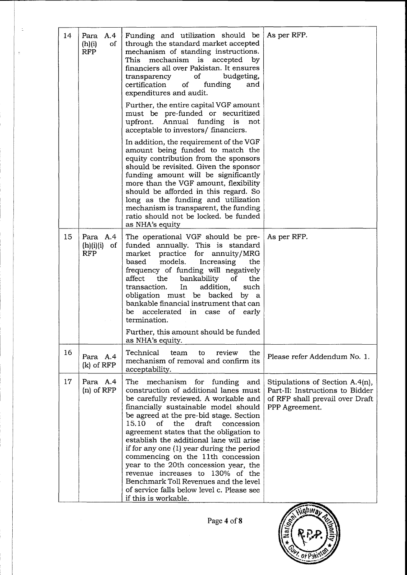| 14 | Para A.4<br>(h)(i)<br>of<br><b>RFP</b>    | Funding and utilization should be<br>through the standard market accepted<br>mechanism of standing instructions.<br>mechanism is accepted<br>This<br>by<br>financiers all over Pakistan. It ensures<br>of budgeting,<br>transparency<br>funding<br>certification<br>$\circ$ f<br>and<br>expenditures and audit.                                                                                                                                                                                                                                                                                                            | As per RFP.                                                                                                             |
|----|-------------------------------------------|----------------------------------------------------------------------------------------------------------------------------------------------------------------------------------------------------------------------------------------------------------------------------------------------------------------------------------------------------------------------------------------------------------------------------------------------------------------------------------------------------------------------------------------------------------------------------------------------------------------------------|-------------------------------------------------------------------------------------------------------------------------|
|    |                                           | Further, the entire capital VGF amount<br>must be pre-funded or securitized<br>upfront. Annual funding is not<br>acceptable to investors/ financiers.                                                                                                                                                                                                                                                                                                                                                                                                                                                                      |                                                                                                                         |
|    |                                           | In addition, the requirement of the VGF<br>amount being funded to match the<br>equity contribution from the sponsors<br>should be revisited. Given the sponsor<br>funding amount will be significantly<br>more than the VGF amount, flexibility<br>should be afforded in this regard. So<br>long as the funding and utilization<br>mechanism is transparent, the funding<br>ratio should not be locked. be funded<br>as NHA's equity                                                                                                                                                                                       |                                                                                                                         |
| 15 | Para A.4<br>(h)(i)(i)<br>of<br><b>RFP</b> | The operational VGF should be pre-<br>funded annually. This is standard<br>market practice for annuity/MRG<br>models.<br>Increasing<br>based<br>the<br>frequency of funding will negatively<br>bankability of<br>affect<br>the<br>the<br>addition,<br>transaction.<br>In<br>such<br>obligation must be backed by a<br>bankable financial instrument that can<br>accelerated in case of early<br>be<br>termination.                                                                                                                                                                                                         | As per RFP.                                                                                                             |
|    |                                           | Further, this amount should be funded<br>as NHA's equity.                                                                                                                                                                                                                                                                                                                                                                                                                                                                                                                                                                  |                                                                                                                         |
| 16 | Para A.4<br>$(k)$ of $RFP$                | Technical<br>review<br>the<br>team<br>to<br>mechanism of removal and confirm its<br>acceptability.                                                                                                                                                                                                                                                                                                                                                                                                                                                                                                                         | Please refer Addendum No. 1.                                                                                            |
| 17 | Para A.4<br>$(n)$ of RFP                  | mechanism for funding<br>The<br>and<br>construction of additional lanes must<br>be carefully reviewed. A workable and<br>financially sustainable model should<br>be agreed at the pre-bid stage. Section<br>15.10<br>0f<br>the<br>draft<br>concession<br>agreement states that the obligation to<br>establish the additional lane will arise<br>if for any one (1) year during the period<br>commencing on the 11th concession<br>year to the 20th concession year, the<br>revenue increases to 130% of the<br>Benchmark Toll Revenues and the level<br>of service falls below level c. Please see<br>if this is workable. | Stipulations of Section A.4(n),<br>Part-II: Instructions to Bidder<br>of RFP shall prevail over Draft<br>PPP Agreement. |
|    |                                           |                                                                                                                                                                                                                                                                                                                                                                                                                                                                                                                                                                                                                            |                                                                                                                         |

 $\frac{1}{\sqrt{2}}$ 

Page 4 of 8

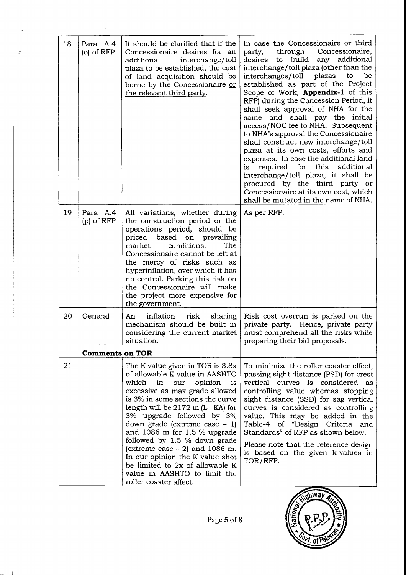| 18 | Para A.4<br>$(o)$ of RFP | It should be clarified that if the<br>Concessionaire desires for an<br>interchange/toll<br>additional<br>plaza to be established, the cost<br>of land acquisition should be<br>borne by the Concessionaire or<br>the relevant third party.                                                                                                                                                                                                                                                                                    | In case the Concessionaire or third<br>through<br>Concessionaire,<br>party,<br>build<br>any additional<br>desires<br>to<br>interchange/toll plaza (other than the<br>interchanges/toll<br>plazas<br>to<br>be<br>established as part of the Project<br>Scope of Work, <b>Appendix-1</b> of this<br>RFP) during the Concession Period, it<br>shall seek approval of NHA for the<br>same and shall pay the initial<br>access/NOC fee to NHA. Subsequent<br>to NHA's approval the Concessionaire<br>shall construct new interchange/toll<br>plaza at its own costs, efforts and<br>expenses. In case the additional land<br>is required for this<br>additional<br>interchange/toll plaza, it shall be<br>procured by the third party or<br>Concessionaire at its own cost, which<br>shall be mutated in the name of NHA. |
|----|--------------------------|-------------------------------------------------------------------------------------------------------------------------------------------------------------------------------------------------------------------------------------------------------------------------------------------------------------------------------------------------------------------------------------------------------------------------------------------------------------------------------------------------------------------------------|----------------------------------------------------------------------------------------------------------------------------------------------------------------------------------------------------------------------------------------------------------------------------------------------------------------------------------------------------------------------------------------------------------------------------------------------------------------------------------------------------------------------------------------------------------------------------------------------------------------------------------------------------------------------------------------------------------------------------------------------------------------------------------------------------------------------|
| 19 | Para A.4<br>$(p)$ of RFP | All variations, whether during<br>the construction period or the<br>operations period, should be<br>priced based on prevailing<br>conditions.<br>The<br>market<br>Concessionaire cannot be left at<br>the mercy of risks such as<br>hyperinflation, over which it has<br>no control. Parking this risk on<br>the Concessionaire will make<br>the project more expensive for<br>the government.                                                                                                                                | As per RFP.                                                                                                                                                                                                                                                                                                                                                                                                                                                                                                                                                                                                                                                                                                                                                                                                          |
| 20 | General                  | inflation<br>risk<br>sharing<br>An<br>mechanism should be built in<br>considering the current market<br>situation.                                                                                                                                                                                                                                                                                                                                                                                                            | Risk cost overrun is parked on the<br>private party. Hence, private party<br>must comprehend all the risks while<br>preparing their bid proposals.                                                                                                                                                                                                                                                                                                                                                                                                                                                                                                                                                                                                                                                                   |
|    | <b>Comments on TOR</b>   |                                                                                                                                                                                                                                                                                                                                                                                                                                                                                                                               |                                                                                                                                                                                                                                                                                                                                                                                                                                                                                                                                                                                                                                                                                                                                                                                                                      |
| 21 |                          | The K value given in TOR is 3.8x<br>of allowable K value in AASHTO<br>which<br>in<br>our<br>opinion<br>is<br>excessive as max grade allowed<br>is 3% in some sections the curve<br>length will be $2172$ m (L = KA) for<br>3% upgrade followed by 3%<br>down grade (extreme case $-1$ )<br>and $1086$ m for 1.5 % upgrade<br>followed by 1.5 % down grade<br>(extreme case $-2$ ) and 1086 m.<br>In our opinion the K value shot<br>be limited to 2x of allowable K<br>value in AASHTO to limit the<br>roller coaster affect. | To minimize the roller coaster effect,<br>passing sight distance (PSD) for crest<br>vertical curves is considered as<br>controlling value whereas stopping<br>sight distance (SSD) for sag vertical<br>curves is considered as controlling<br>value. This may be added in the<br>Table-4 of "Design Criteria and<br>Standards" of RFP as shown below.<br>Please note that the reference design<br>is based on the given k-values in<br>TOR/RFP.                                                                                                                                                                                                                                                                                                                                                                      |

 $\tilde{\varepsilon}$ 

 $\bar{\mathcal{A}}$ 



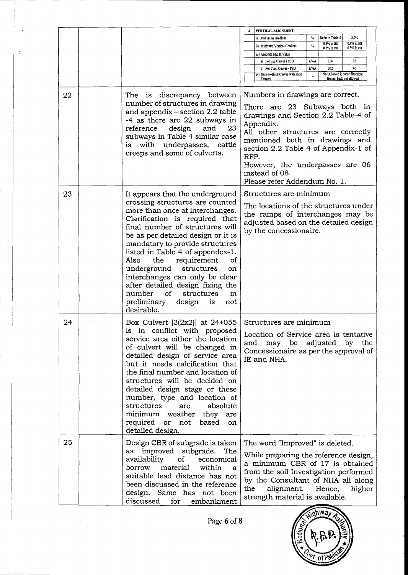|    |                                                                                                                                                                                                                                                                                                                                                                                                                                                                                                                              | VERTICAL ALIGNMENT                                                                                                                                                                                                                                                                                                                |
|----|------------------------------------------------------------------------------------------------------------------------------------------------------------------------------------------------------------------------------------------------------------------------------------------------------------------------------------------------------------------------------------------------------------------------------------------------------------------------------------------------------------------------------|-----------------------------------------------------------------------------------------------------------------------------------------------------------------------------------------------------------------------------------------------------------------------------------------------------------------------------------|
|    |                                                                                                                                                                                                                                                                                                                                                                                                                                                                                                                              | Refer to Table-5<br>3.0%<br>₩<br>i) Maximum Gradient<br>$0.3\%$ in fill<br>0.3% in fill                                                                                                                                                                                                                                           |
|    |                                                                                                                                                                                                                                                                                                                                                                                                                                                                                                                              | $\%$<br>ii) Minimum Vertical Gradient<br>0.5% in cut<br>0.5% in cut<br>iii) Absolute Min K Value                                                                                                                                                                                                                                  |
|    |                                                                                                                                                                                                                                                                                                                                                                                                                                                                                                                              | 126<br>26<br>a) For Sag Curves   SSD<br>k%A                                                                                                                                                                                                                                                                                       |
|    |                                                                                                                                                                                                                                                                                                                                                                                                                                                                                                                              | k/%A<br>362<br>60<br>b) For Crest Curves - PSD                                                                                                                                                                                                                                                                                    |
|    |                                                                                                                                                                                                                                                                                                                                                                                                                                                                                                                              | Not Allowed in same direction:<br>iv) Back-to-Back Curves with short<br>Broken back not allowed<br>Tangent                                                                                                                                                                                                                        |
| 22 | The is discrepancy between<br>number of structures in drawing<br>and appendix – section 2.2 table<br>-4 as there are 22 subways in<br>design<br>reference<br>and<br>23<br>subways in Table 4 similar case<br>with underpasses, cattle<br>is<br>creeps and some of culverts.                                                                                                                                                                                                                                                  | Numbers in drawings are correct.<br>There are 23 Subways both in<br>drawings and Section 2.2 Table-4 of<br>Appendix.<br>All other structures are correctly<br>mentioned both in drawings and<br>section 2.2 Table-4 of Appendix-1 of<br>RFP.<br>However, the underpasses are 06<br>instead of 08.<br>Please refer Addendum No. 1. |
| 23 | It appears that the underground<br>crossing structures are counted<br>more than once at interchanges.<br>Clarification is required that<br>final number of structures will<br>be as per detailed design or it is<br>mandatory to provide structures<br>listed in Table 4 of appendex-1.<br>Also<br>the<br>requirement<br>οf<br>underground<br>structures<br>on<br>interchanges can only be clear<br>after detailed design fixing the<br>number<br>of<br>structures<br>in<br>preliminary<br>design<br>is<br>not<br>desirable. | Structures are minimum<br>The locations of the structures under<br>the ramps of interchanges may be<br>adjusted based on the detailed design<br>by the concessionaire.                                                                                                                                                            |
| 24 | Box Culvert $[3(2x2)]$ at 24+055<br>is in conflict with proposed<br>service area either the location<br>of culvert will be changed in<br>detailed design of service area<br>but it needs calcification that<br>the final number and location of<br>structures will be decided on<br>detailed design stage or these<br>number, type and location of<br>structures<br>absolute<br>are<br>minimum weather they are<br>required or<br>not<br>based<br>on<br>detailed design.                                                     | Structures are minimum<br>Location of Service area is tentative<br>and<br>be<br>adjusted<br>by<br>the<br>may<br>Concessionaire as per the approval of<br>IE and NHA.                                                                                                                                                              |
| 25 | Design CBR of subgrade is taken<br>as improved subgrade. The<br>of<br>availability<br>economical<br>material<br>borrow<br>within<br>a<br>suitable lead distance has not<br>been discussed in the reference<br>design. Same has not been<br>discussed<br>for<br>embankment                                                                                                                                                                                                                                                    | The word "Improved" is deleted.<br>While preparing the reference design,<br>a minimum CBR of 17 is obtained<br>from the soil Investigation performed<br>by the Consultant of NHA all along<br>the<br>alignment.<br>Hence,<br>higher<br>strength material is available.                                                            |

 $\ddot{\mathbb{C}}$ 

 $\mathbb{Z}^2$ 

Page 6 of 8

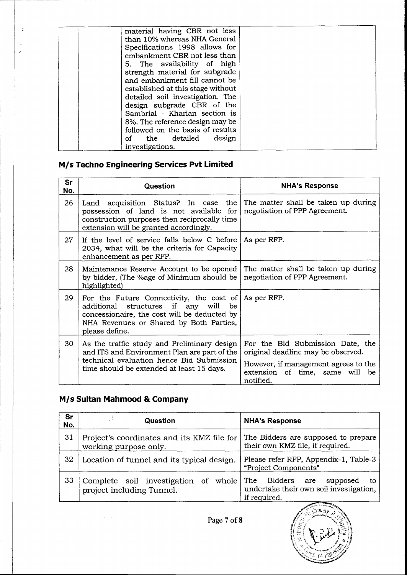| material having CBR not less      |  |
|-----------------------------------|--|
| than 10% whereas NHA General      |  |
| Specifications 1998 allows for    |  |
| embankment CBR not less than      |  |
| 5. The availability of high       |  |
| strength material for subgrade    |  |
| and embankment fill cannot be     |  |
| established at this stage without |  |
| detailed soil investigation. The  |  |
|                                   |  |
| design subgrade CBR of the        |  |
| Sambrial - Kharian section is     |  |
| 8%. The reference design may be   |  |
| followed on the basis of results  |  |
| design<br>of the detailed         |  |
| investigations.                   |  |

# M/s Techno Engineering Services Pvt Limited

 $\mathbb{D}$ 

 $\overline{\phantom{a}}$  $\varphi$ 

| <b>Sr</b><br>No. | Question                                                                                                                                                                                                                | <b>NHA's Response</b>                                                                                                                                             |
|------------------|-------------------------------------------------------------------------------------------------------------------------------------------------------------------------------------------------------------------------|-------------------------------------------------------------------------------------------------------------------------------------------------------------------|
| 26               | Land acquisition Status? In case the<br>possession of land is not available for<br>construction purposes then reciprocally time<br>extension will be granted accordingly.                                               | The matter shall be taken up during<br>negotiation of PPP Agreement.                                                                                              |
| 27               | If the level of service falls below C before<br>2034, what will be the criteria for Capacity<br>enhancement as per RFP.                                                                                                 | As per RFP.                                                                                                                                                       |
| 28               | Maintenance Reserve Account to be opened<br>by bidder, (The %age of Minimum should be<br>highlighted)                                                                                                                   | The matter shall be taken up during<br>negotiation of PPP Agreement.                                                                                              |
| 29               | For the Future Connectivity, the cost of $\vert$ As per RFP.<br>if any will<br>additional structures<br>be<br>concessionaire, the cost will be deducted by<br>NHA Revenues or Shared by Both Parties,<br>please define. |                                                                                                                                                                   |
| 30               | As the traffic study and Preliminary design<br>and ITS and Environment Plan are part of the<br>technical evaluation hence Bid Submission<br>time should be extended at least 15 days.                                   | For the Bid Submission Date, the<br>original deadline may be observed.<br>However, if management agrees to the<br>extension of time, same will<br>be<br>notified. |

## M/s Sultan Mahmood & Company

| Sr<br>No. | Question                                                            | <b>NHA's Response</b>                                                                                                        |
|-----------|---------------------------------------------------------------------|------------------------------------------------------------------------------------------------------------------------------|
| 31        | Project's coordinates and its KMZ file for<br>working purpose only. | The Bidders are supposed to prepare<br>their own KMZ file, if required.                                                      |
| 32        | Location of tunnel and its typical design.                          | Please refer RFP, Appendix-1, Table-3<br>"Project Components"                                                                |
| 33        | Complete soil investigation of whole<br>project including Tunnel.   | The Bidders are<br>supposed<br>to<br>undertake their own soil investigation,<br>if required.<br><b>COMMERCIAL COMMERCIAL</b> |

Page 7 of 8

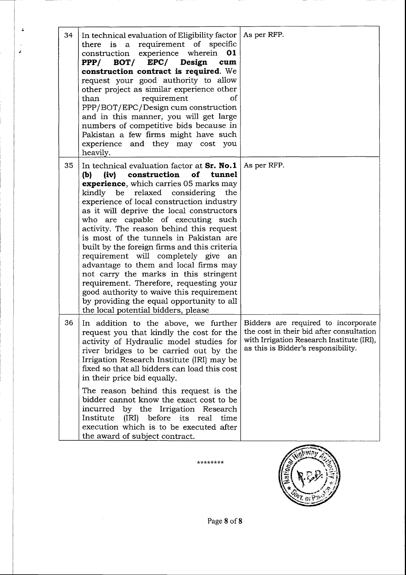| 34 | In technical evaluation of Eligibility factor  <br>there is a requirement of specific<br>construction experience wherein 01<br>EPC/ Design<br>$PPP/$ BOT/<br>cum<br>construction contract is required. We<br>request your good authority to allow<br>other project as similar experience other<br>requirement<br>of<br>than<br>PPP/BOT/EPC/Design cum construction<br>and in this manner, you will get large<br>numbers of competitive bids because in<br>Pakistan a few firms might have such<br>experience and they may cost you<br>heavily.                                                                                                                                                                                                           | As per RFP.                                                                                                                  |
|----|----------------------------------------------------------------------------------------------------------------------------------------------------------------------------------------------------------------------------------------------------------------------------------------------------------------------------------------------------------------------------------------------------------------------------------------------------------------------------------------------------------------------------------------------------------------------------------------------------------------------------------------------------------------------------------------------------------------------------------------------------------|------------------------------------------------------------------------------------------------------------------------------|
| 35 | In technical evaluation factor at $Sr. No.1$<br>construction of tunnel<br>(iv)<br>(b)<br><b>experience</b> , which carries 05 marks may<br>kindly be<br>relaxed considering the<br>experience of local construction industry<br>as it will deprive the local constructors<br>who are capable of executing such<br>activity. The reason behind this request<br>is most of the tunnels in Pakistan are<br>built by the foreign firms and this criteria<br>requirement will completely give an<br>advantage to them and local firms may<br>not carry the marks in this stringent<br>requirement. Therefore, requesting your<br>good authority to waive this requirement<br>by providing the equal opportunity to all<br>the local potential bidders, please | As per RFP.                                                                                                                  |
| 36 | In addition to the above, we further   Bidders are required to incorporate<br>request you that kindly the cost for the<br>activity of Hydraulic model studies for<br>river bridges to be carried out by the<br>Irrigation Research Institute (IRI) may be<br>fixed so that all bidders can load this cost<br>in their price bid equally.<br>The reason behind this request is the<br>bidder cannot know the exact cost to be<br>incurred by the Irrigation Research<br>Institute<br>(IRI) before<br>its real<br>time<br>execution which is to be executed after<br>the award of subject contract.                                                                                                                                                        | the cost in their bid after consultation<br>with Irrigation Research Institute (IRI),<br>as this is Bidder's responsibility. |

 $\ddot{•}$ 

 $\ddot{\phantom{a}}$  $\mathbf{z}$ 

\*\*\*\*\*\*\*\*



Page 8 of 8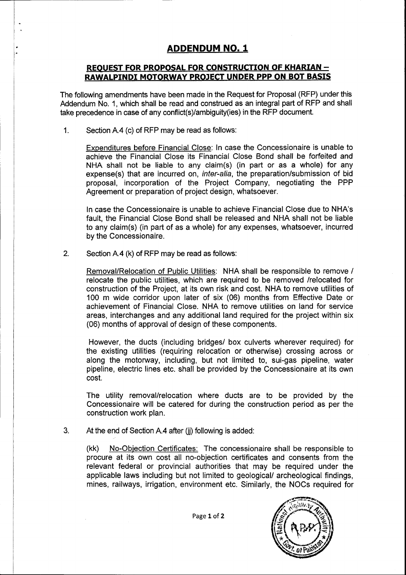## ADDENDUM NO. 1

### REQUEST FOR PROPOSAL FOR CONSTRUCTION OF KHARIAN -RAWALPINDI MOTORWAY PROJECT UNDER PPP ON BOT BASIS

The following amendments have been made in the Request for Proposal (RFP) under this Addendum No. 1, which shall be read and construed as an integral part of RFP and shall take precedence in case of any conflict(s)/ambiguity(ies) in the RFP document.

1. Section A.4 (c) of RFP may be read as follows:

Expenditures before Financial Close: In case the Concessionaire is unable to achieve the Financial Close its Financial Close Bond shall be forfeited and NHA shall not be liable to any claim(s) (in part or as a whole) for any expense(s) that are incurred on, inter-alia, the preparation/submission of bid proposal, incorporation of the Project Company, negotiating the PPP Agreement or preparation of project design, whatsoever.

In case the Concessionaire is unable to achieve Financial Close due to NHA's fault, the Financial Close Bond shall be released and NHA shall not be liable to any claim(s) (in part of as a whole) for any expenses, whatsoever, incurred by the Concessionaire.

2. Section A.4 (k) of RFP may be read as follows:

Removal/Relocation of Public Utilities: NHA shall be responsible to remove / relocate the public utilities, which are required to be removed /relocated for construction of the Project, at its own risk and cost. NHA to remove utilities of 100 m wide corridor upon later of six (06) months from Effective Date or achievement of Financial Close. NHA to remove utilities on land for service areas, interchanges and any additional land required for the project within six (06) months of approval of design of these components.

However, the ducts (including bridges/ box culverts wherever required) for the existing utilities (requiring relocation or otherwise) crossing across or along the motoruvay, including, but not limited to, sui-gas pipeline, water pipeline, electric lines etc. shall be provided by the Concessionaire at its own cost.

The utility removal/relocation where ducts are to be provided by the Concessionaire will be catered for during the construction period as per the construction work plan.

At the end of Section A.4 after (ij) following is added: 3.

> (kk) No-Objection Certificates: The concessionaire shall be responsible to procure at its own cost all no-objection certificates and consents from the relevant federal or provincial authorities that may be required under the applicable laws including but not limited to geological/ archeological findings, mines, railways, irrigation, environment etc. Similarly, the NOCs required for

> > Page 1 of 2